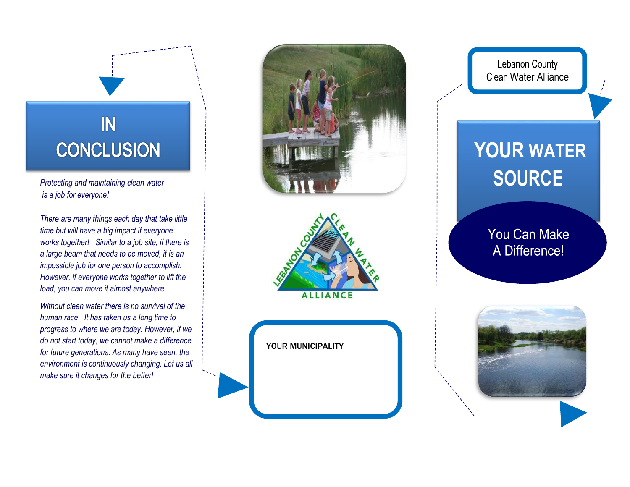# IN **CONCLUSION**

*is a job for everyone!*

*There are many things each day that take little time but will have a big impact if everyone works together! Similar to a job site, if there is a large beam that needs to be moved, it is an impossible job for one person to accomplish. However, if everyone works together to lift the load, you can move it almost anywhere.*

*Without clean water there is no survival of the human race. It has taken us a long time to progress to where we are today. However, if we do not start today, we cannot make a difference for future generations. As many have seen, the environment is continuously changing. Let us all make sure it changes for the better!*





YOUR MUNICIPALITY

**YOUR WATER You Can Make** 

Lebanon County **Clean Water Alliance**